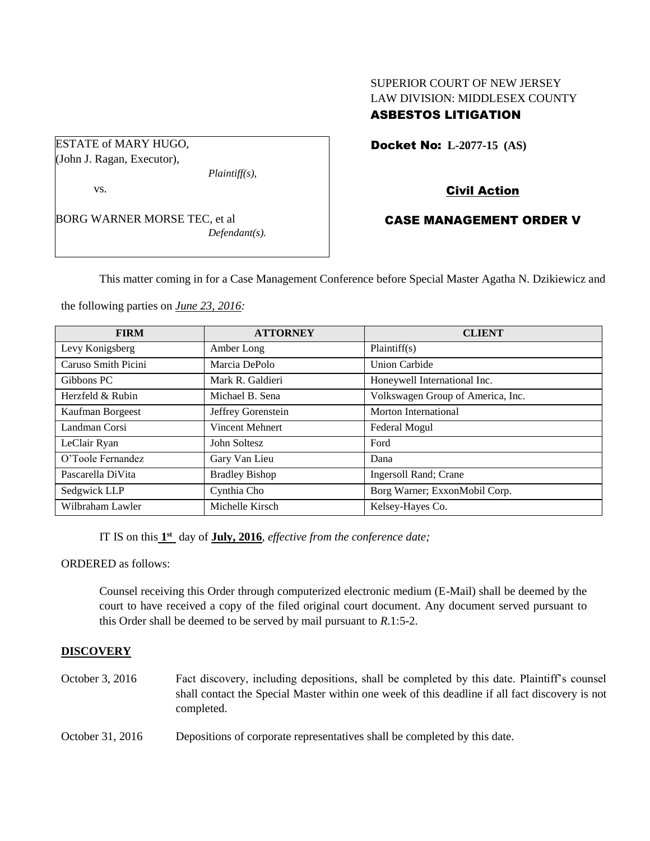## SUPERIOR COURT OF NEW JERSEY LAW DIVISION: MIDDLESEX COUNTY ASBESTOS LITIGATION

ESTATE of MARY HUGO, (John J. Ragan, Executor),

vs.

BORG WARNER MORSE TEC, et al *Defendant(s).*

*Plaintiff(s),*

Docket No: **L-2077-15 (AS)** 

# Civil Action

# CASE MANAGEMENT ORDER V

This matter coming in for a Case Management Conference before Special Master Agatha N. Dzikiewicz and

the following parties on *June 23, 2016:*

| <b>FIRM</b>         | <b>ATTORNEY</b>        | <b>CLIENT</b>                     |
|---------------------|------------------------|-----------------------------------|
| Levy Konigsberg     | Amber Long             | Plaintiff(s)                      |
| Caruso Smith Picini | Marcia DePolo          | Union Carbide                     |
| Gibbons PC          | Mark R. Galdieri       | Honeywell International Inc.      |
| Herzfeld & Rubin    | Michael B. Sena        | Volkswagen Group of America, Inc. |
| Kaufman Borgeest    | Jeffrey Gorenstein     | Morton International              |
| Landman Corsi       | <b>Vincent Mehnert</b> | Federal Mogul                     |
| LeClair Ryan        | John Soltesz           | Ford                              |
| O'Toole Fernandez   | Gary Van Lieu          | Dana                              |
| Pascarella DiVita   | <b>Bradley Bishop</b>  | Ingersoll Rand; Crane             |
| Sedgwick LLP        | Cynthia Cho            | Borg Warner; ExxonMobil Corp.     |
| Wilbraham Lawler    | Michelle Kirsch        | Kelsey-Hayes Co.                  |

IT IS on this  $1<sup>st</sup>$  day of **July, 2016**, *effective from the conference date*;

ORDERED as follows:

Counsel receiving this Order through computerized electronic medium (E-Mail) shall be deemed by the court to have received a copy of the filed original court document. Any document served pursuant to this Order shall be deemed to be served by mail pursuant to *R*.1:5-2.

## **DISCOVERY**

- October 3, 2016 Fact discovery, including depositions, shall be completed by this date. Plaintiff's counsel shall contact the Special Master within one week of this deadline if all fact discovery is not completed.
- October 31, 2016 Depositions of corporate representatives shall be completed by this date.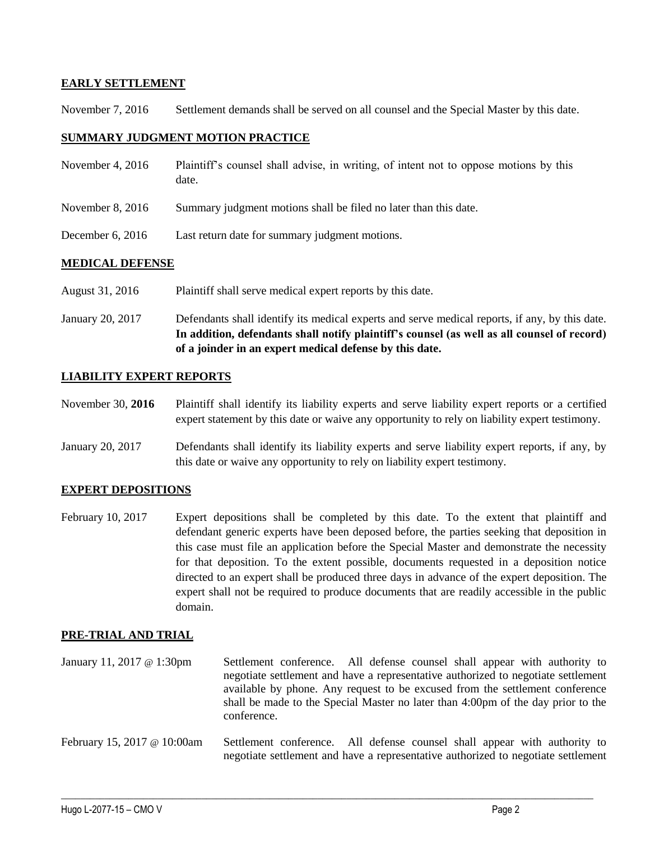#### **EARLY SETTLEMENT**

November 7, 2016 Settlement demands shall be served on all counsel and the Special Master by this date.

#### **SUMMARY JUDGMENT MOTION PRACTICE**

| November 4, $2016$     | Plaintiff's counsel shall advise, in writing, of intent not to oppose motions by this<br>date. |
|------------------------|------------------------------------------------------------------------------------------------|
| November $8, 2016$     | Summary judgment motions shall be filed no later than this date.                               |
| December 6, $2016$     | Last return date for summary judgment motions.                                                 |
| <b>MEDICAL DEFENSE</b> |                                                                                                |

# August 31, 2016 Plaintiff shall serve medical expert reports by this date.

January 20, 2017 Defendants shall identify its medical experts and serve medical reports, if any, by this date. **In addition, defendants shall notify plaintiff's counsel (as well as all counsel of record) of a joinder in an expert medical defense by this date.**

#### **LIABILITY EXPERT REPORTS**

November 30, **2016** Plaintiff shall identify its liability experts and serve liability expert reports or a certified expert statement by this date or waive any opportunity to rely on liability expert testimony.

January 20, 2017 Defendants shall identify its liability experts and serve liability expert reports, if any, by this date or waive any opportunity to rely on liability expert testimony.

## **EXPERT DEPOSITIONS**

February 10, 2017 Expert depositions shall be completed by this date. To the extent that plaintiff and defendant generic experts have been deposed before, the parties seeking that deposition in this case must file an application before the Special Master and demonstrate the necessity for that deposition. To the extent possible, documents requested in a deposition notice directed to an expert shall be produced three days in advance of the expert deposition. The expert shall not be required to produce documents that are readily accessible in the public domain.

#### **PRE-TRIAL AND TRIAL**

January 11, 2017 @ 1:30pm Settlement conference. All defense counsel shall appear with authority to negotiate settlement and have a representative authorized to negotiate settlement available by phone. Any request to be excused from the settlement conference shall be made to the Special Master no later than 4:00pm of the day prior to the conference.

February 15, 2017 @ 10:00am Settlement conference. All defense counsel shall appear with authority to negotiate settlement and have a representative authorized to negotiate settlement

 $\_$  , and the set of the set of the set of the set of the set of the set of the set of the set of the set of the set of the set of the set of the set of the set of the set of the set of the set of the set of the set of th